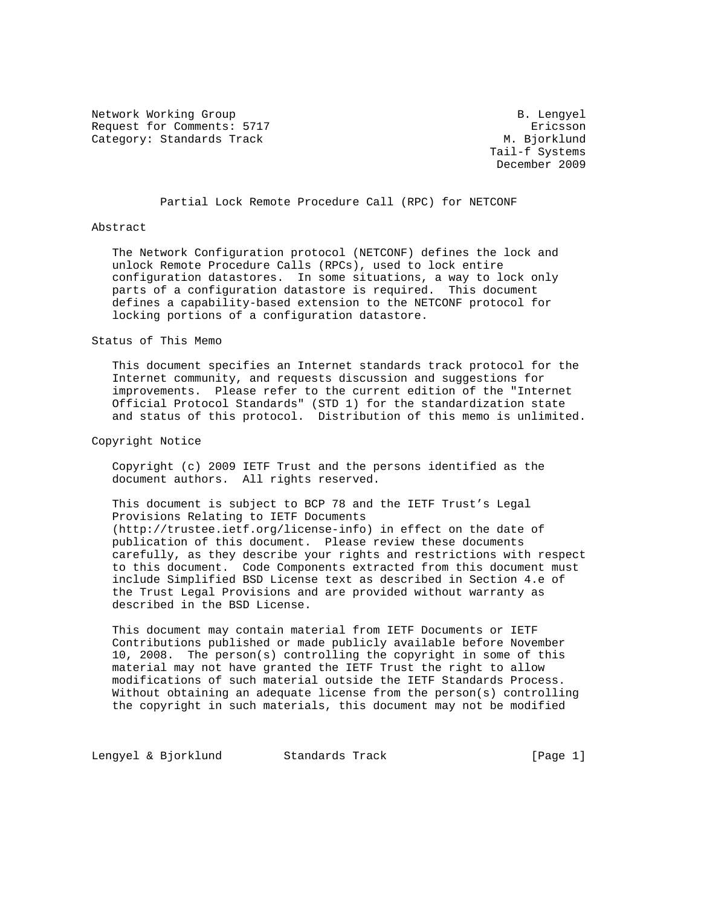Network Working Group B. Lengyel Request for Comments: 5717 ericsson Category: Standards Track M. Bjorklund

 Tail-f Systems December 2009

Partial Lock Remote Procedure Call (RPC) for NETCONF

#### Abstract

 The Network Configuration protocol (NETCONF) defines the lock and unlock Remote Procedure Calls (RPCs), used to lock entire configuration datastores. In some situations, a way to lock only parts of a configuration datastore is required. This document defines a capability-based extension to the NETCONF protocol for locking portions of a configuration datastore.

## Status of This Memo

 This document specifies an Internet standards track protocol for the Internet community, and requests discussion and suggestions for improvements. Please refer to the current edition of the "Internet Official Protocol Standards" (STD 1) for the standardization state and status of this protocol. Distribution of this memo is unlimited.

## Copyright Notice

 Copyright (c) 2009 IETF Trust and the persons identified as the document authors. All rights reserved.

 This document is subject to BCP 78 and the IETF Trust's Legal Provisions Relating to IETF Documents (http://trustee.ietf.org/license-info) in effect on the date of publication of this document. Please review these documents carefully, as they describe your rights and restrictions with respect to this document. Code Components extracted from this document must include Simplified BSD License text as described in Section 4.e of the Trust Legal Provisions and are provided without warranty as described in the BSD License.

 This document may contain material from IETF Documents or IETF Contributions published or made publicly available before November 10, 2008. The person(s) controlling the copyright in some of this material may not have granted the IETF Trust the right to allow modifications of such material outside the IETF Standards Process. Without obtaining an adequate license from the person(s) controlling the copyright in such materials, this document may not be modified

Lengyel & Bjorklund Standards Track [Page 1]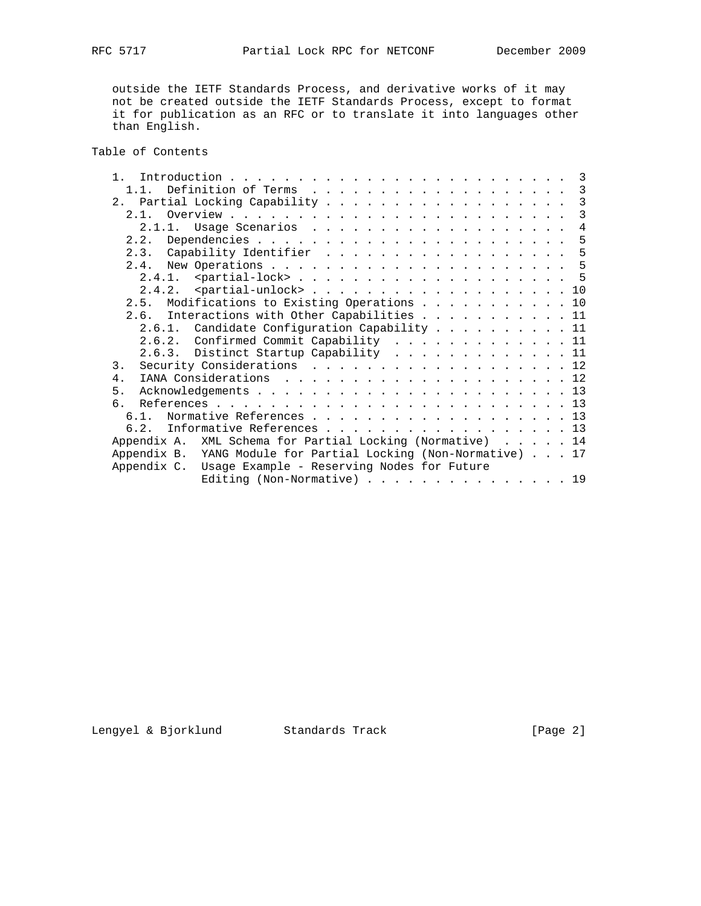outside the IETF Standards Process, and derivative works of it may not be created outside the IETF Standards Process, except to format it for publication as an RFC or to translate it into languages other than English.

Table of Contents

| 1.1.                                                           |  |  |  |  | 3 |
|----------------------------------------------------------------|--|--|--|--|---|
| 2. Partial Locking Capability 3                                |  |  |  |  |   |
| $2 \t1$                                                        |  |  |  |  | 3 |
| 2.1.1. Usage Scenarios 4                                       |  |  |  |  |   |
| 2.2.                                                           |  |  |  |  |   |
| 2.3. Capability Identifier 5                                   |  |  |  |  |   |
|                                                                |  |  |  |  |   |
|                                                                |  |  |  |  |   |
|                                                                |  |  |  |  |   |
| 2.5. Modifications to Existing Operations 10                   |  |  |  |  |   |
| 2.6. Interactions with Other Capabilities 11                   |  |  |  |  |   |
| 2.6.1. Candidate Configuration Capability 11                   |  |  |  |  |   |
| 2.6.2. Confirmed Commit Capability 11                          |  |  |  |  |   |
| 2.6.3. Distinct Startup Capability 11                          |  |  |  |  |   |
| Security Considerations 12<br>3.                               |  |  |  |  |   |
| $4$ .                                                          |  |  |  |  |   |
| 5.                                                             |  |  |  |  |   |
| რ.                                                             |  |  |  |  |   |
| Normative References 13<br>6.1.                                |  |  |  |  |   |
| 6.2. Informative References 13                                 |  |  |  |  |   |
| XML Schema for Partial Locking (Normative) 14<br>Appendix A.   |  |  |  |  |   |
| Appendix B. YANG Module for Partial Locking (Non-Normative) 17 |  |  |  |  |   |
| Appendix C. Usage Example - Reserving Nodes for Future         |  |  |  |  |   |
| Editing (Non-Normative) 19                                     |  |  |  |  |   |
|                                                                |  |  |  |  |   |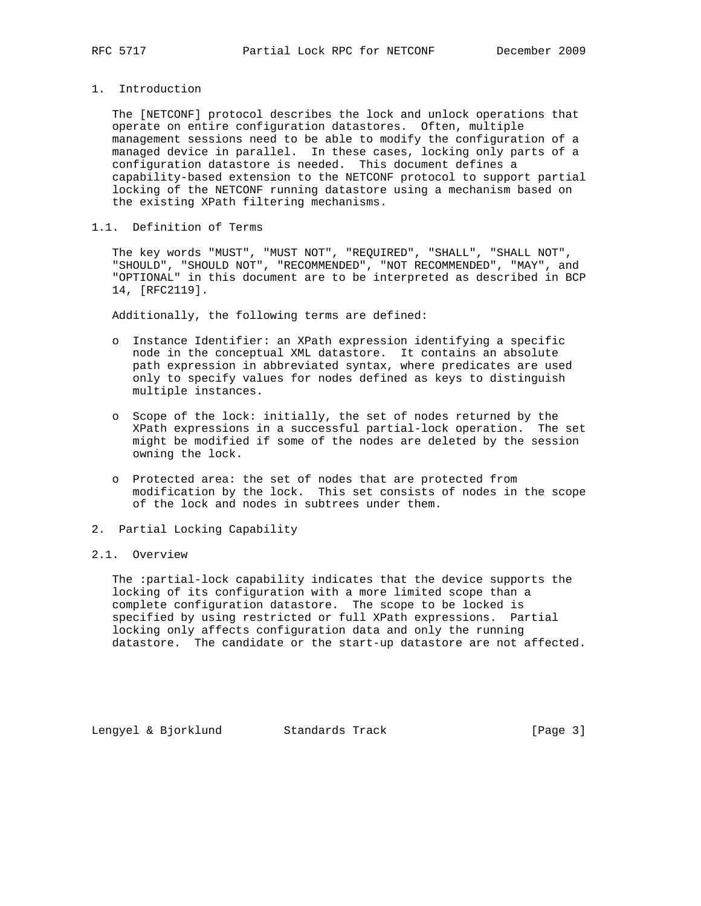# 1. Introduction

 The [NETCONF] protocol describes the lock and unlock operations that operate on entire configuration datastores. Often, multiple management sessions need to be able to modify the configuration of a managed device in parallel. In these cases, locking only parts of a configuration datastore is needed. This document defines a capability-based extension to the NETCONF protocol to support partial locking of the NETCONF running datastore using a mechanism based on the existing XPath filtering mechanisms.

## 1.1. Definition of Terms

 The key words "MUST", "MUST NOT", "REQUIRED", "SHALL", "SHALL NOT", "SHOULD", "SHOULD NOT", "RECOMMENDED", "NOT RECOMMENDED", "MAY", and "OPTIONAL" in this document are to be interpreted as described in BCP 14, [RFC2119].

Additionally, the following terms are defined:

- o Instance Identifier: an XPath expression identifying a specific node in the conceptual XML datastore. It contains an absolute path expression in abbreviated syntax, where predicates are used only to specify values for nodes defined as keys to distinguish multiple instances.
- o Scope of the lock: initially, the set of nodes returned by the XPath expressions in a successful partial-lock operation. The set might be modified if some of the nodes are deleted by the session owning the lock.
- o Protected area: the set of nodes that are protected from modification by the lock. This set consists of nodes in the scope of the lock and nodes in subtrees under them.
- 2. Partial Locking Capability

#### 2.1. Overview

 The :partial-lock capability indicates that the device supports the locking of its configuration with a more limited scope than a complete configuration datastore. The scope to be locked is specified by using restricted or full XPath expressions. Partial locking only affects configuration data and only the running datastore. The candidate or the start-up datastore are not affected.

Lengyel & Bjorklund Standards Track [Page 3]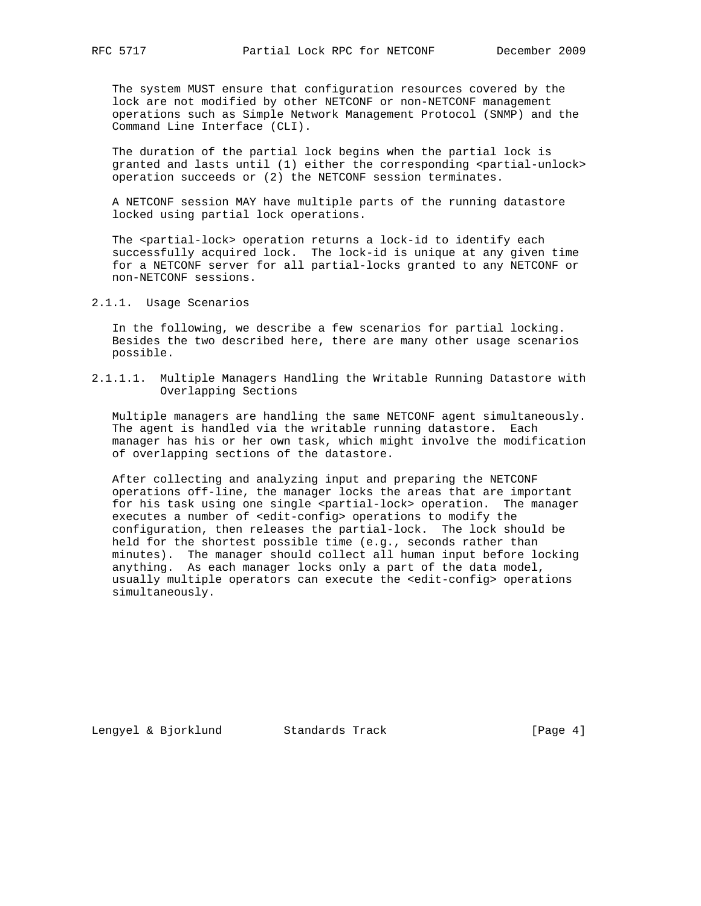The system MUST ensure that configuration resources covered by the lock are not modified by other NETCONF or non-NETCONF management operations such as Simple Network Management Protocol (SNMP) and the Command Line Interface (CLI).

 The duration of the partial lock begins when the partial lock is granted and lasts until (1) either the corresponding <partial-unlock> operation succeeds or (2) the NETCONF session terminates.

 A NETCONF session MAY have multiple parts of the running datastore locked using partial lock operations.

The <partial-lock> operation returns a lock-id to identify each successfully acquired lock. The lock-id is unique at any given time for a NETCONF server for all partial-locks granted to any NETCONF or non-NETCONF sessions.

2.1.1. Usage Scenarios

 In the following, we describe a few scenarios for partial locking. Besides the two described here, there are many other usage scenarios possible.

2.1.1.1. Multiple Managers Handling the Writable Running Datastore with Overlapping Sections

 Multiple managers are handling the same NETCONF agent simultaneously. The agent is handled via the writable running datastore. Each manager has his or her own task, which might involve the modification of overlapping sections of the datastore.

 After collecting and analyzing input and preparing the NETCONF operations off-line, the manager locks the areas that are important for his task using one single <partial-lock> operation. The manager executes a number of <edit-config> operations to modify the configuration, then releases the partial-lock. The lock should be held for the shortest possible time (e.g., seconds rather than minutes). The manager should collect all human input before locking anything. As each manager locks only a part of the data model, usually multiple operators can execute the <edit-config> operations simultaneously.

Lengyel & Bjorklund Standards Track [Page 4]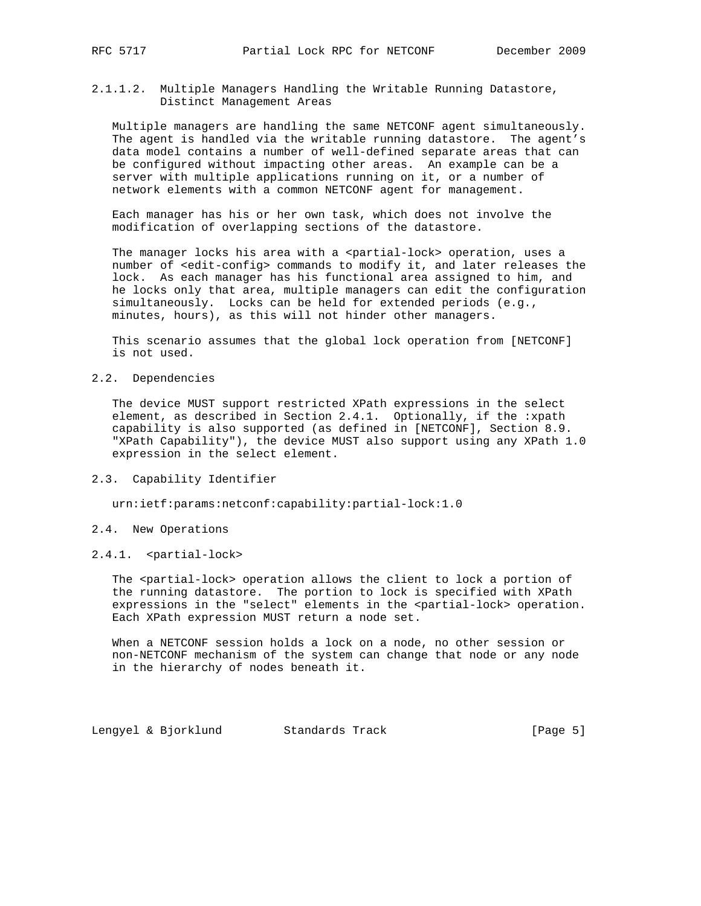2.1.1.2. Multiple Managers Handling the Writable Running Datastore, Distinct Management Areas

 Multiple managers are handling the same NETCONF agent simultaneously. The agent is handled via the writable running datastore. The agent's data model contains a number of well-defined separate areas that can be configured without impacting other areas. An example can be a server with multiple applications running on it, or a number of network elements with a common NETCONF agent for management.

 Each manager has his or her own task, which does not involve the modification of overlapping sections of the datastore.

The manager locks his area with a <partial-lock> operation, uses a number of <edit-config> commands to modify it, and later releases the lock. As each manager has his functional area assigned to him, and he locks only that area, multiple managers can edit the configuration simultaneously. Locks can be held for extended periods (e.g., minutes, hours), as this will not hinder other managers.

 This scenario assumes that the global lock operation from [NETCONF] is not used.

2.2. Dependencies

 The device MUST support restricted XPath expressions in the select element, as described in Section 2.4.1. Optionally, if the :xpath capability is also supported (as defined in [NETCONF], Section 8.9. "XPath Capability"), the device MUST also support using any XPath 1.0 expression in the select element.

2.3. Capability Identifier

urn:ietf:params:netconf:capability:partial-lock:1.0

- 2.4. New Operations
- 2.4.1. <partial-lock>

The <partial-lock> operation allows the client to lock a portion of the running datastore. The portion to lock is specified with XPath expressions in the "select" elements in the <partial-lock> operation. Each XPath expression MUST return a node set.

 When a NETCONF session holds a lock on a node, no other session or non-NETCONF mechanism of the system can change that node or any node in the hierarchy of nodes beneath it.

Lengyel & Bjorklund Standards Track [Page 5]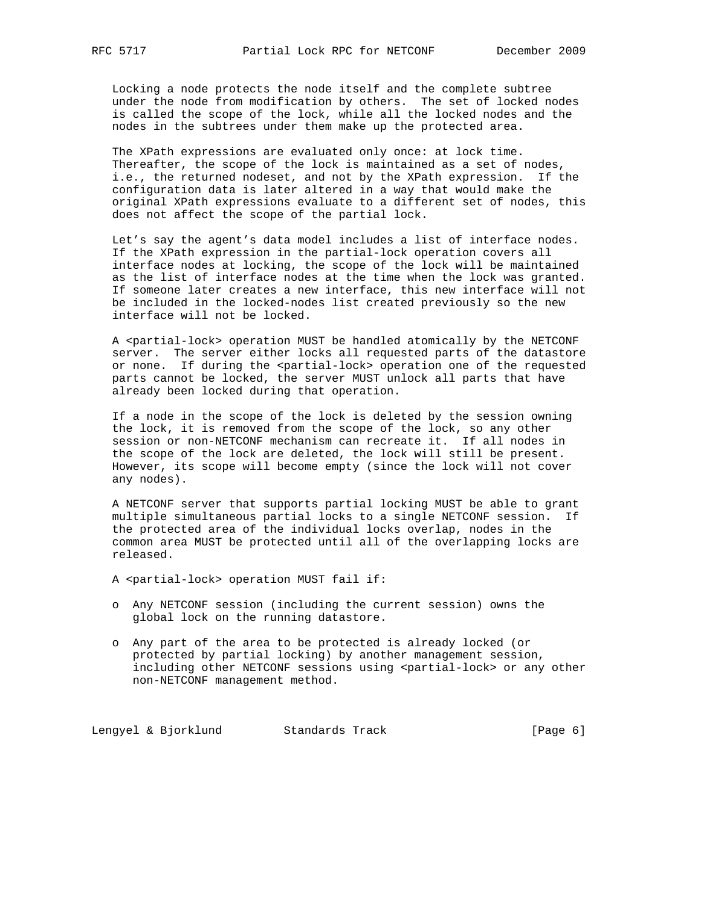Locking a node protects the node itself and the complete subtree under the node from modification by others. The set of locked nodes is called the scope of the lock, while all the locked nodes and the nodes in the subtrees under them make up the protected area.

 The XPath expressions are evaluated only once: at lock time. Thereafter, the scope of the lock is maintained as a set of nodes, i.e., the returned nodeset, and not by the XPath expression. If the configuration data is later altered in a way that would make the original XPath expressions evaluate to a different set of nodes, this does not affect the scope of the partial lock.

 Let's say the agent's data model includes a list of interface nodes. If the XPath expression in the partial-lock operation covers all interface nodes at locking, the scope of the lock will be maintained as the list of interface nodes at the time when the lock was granted. If someone later creates a new interface, this new interface will not be included in the locked-nodes list created previously so the new interface will not be locked.

 A <partial-lock> operation MUST be handled atomically by the NETCONF server. The server either locks all requested parts of the datastore or none. If during the <partial-lock> operation one of the requested parts cannot be locked, the server MUST unlock all parts that have already been locked during that operation.

 If a node in the scope of the lock is deleted by the session owning the lock, it is removed from the scope of the lock, so any other session or non-NETCONF mechanism can recreate it. If all nodes in the scope of the lock are deleted, the lock will still be present. However, its scope will become empty (since the lock will not cover any nodes).

 A NETCONF server that supports partial locking MUST be able to grant multiple simultaneous partial locks to a single NETCONF session. If the protected area of the individual locks overlap, nodes in the common area MUST be protected until all of the overlapping locks are released.

A <partial-lock> operation MUST fail if:

- o Any NETCONF session (including the current session) owns the global lock on the running datastore.
- o Any part of the area to be protected is already locked (or protected by partial locking) by another management session, including other NETCONF sessions using <partial-lock> or any other non-NETCONF management method.

Lengyel & Bjorklund Standards Track [Page 6]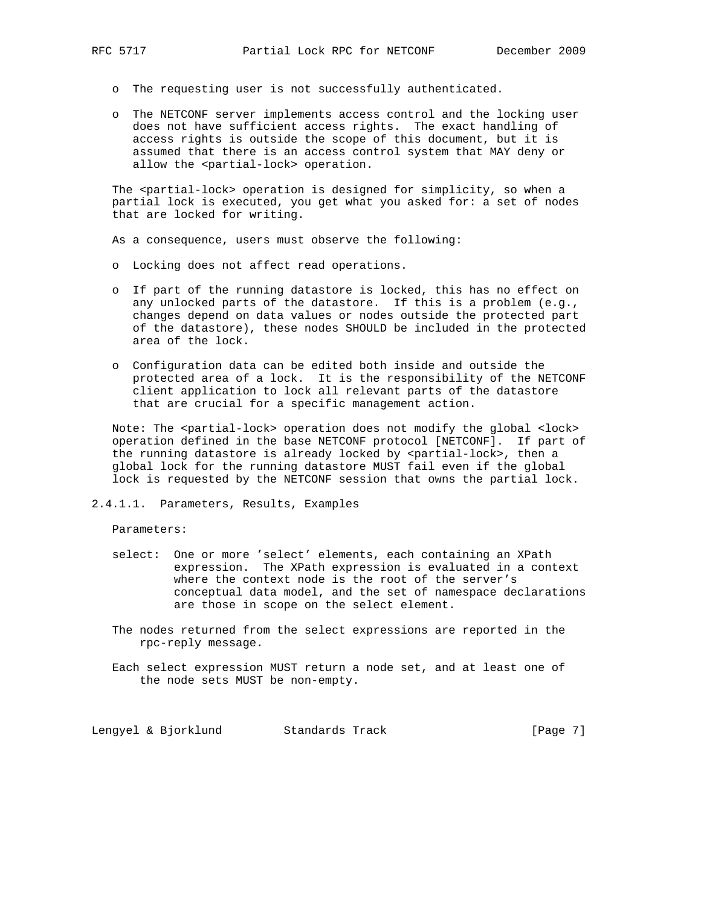- - o The requesting user is not successfully authenticated.
	- o The NETCONF server implements access control and the locking user does not have sufficient access rights. The exact handling of access rights is outside the scope of this document, but it is assumed that there is an access control system that MAY deny or allow the <partial-lock> operation.

The <partial-lock> operation is designed for simplicity, so when a partial lock is executed, you get what you asked for: a set of nodes that are locked for writing.

As a consequence, users must observe the following:

- o Locking does not affect read operations.
- o If part of the running datastore is locked, this has no effect on any unlocked parts of the datastore. If this is a problem (e.g., changes depend on data values or nodes outside the protected part of the datastore), these nodes SHOULD be included in the protected area of the lock.
- o Configuration data can be edited both inside and outside the protected area of a lock. It is the responsibility of the NETCONF client application to lock all relevant parts of the datastore that are crucial for a specific management action.

Note: The <partial-lock> operation does not modify the global <lock> operation defined in the base NETCONF protocol [NETCONF]. If part of the running datastore is already locked by <partial-lock>, then a global lock for the running datastore MUST fail even if the global lock is requested by the NETCONF session that owns the partial lock.

## 2.4.1.1. Parameters, Results, Examples

Parameters:

- select: One or more 'select' elements, each containing an XPath expression. The XPath expression is evaluated in a context where the context node is the root of the server's conceptual data model, and the set of namespace declarations are those in scope on the select element.
	- The nodes returned from the select expressions are reported in the rpc-reply message.
	- Each select expression MUST return a node set, and at least one of the node sets MUST be non-empty.

Lengyel & Bjorklund Standards Track [Page 7]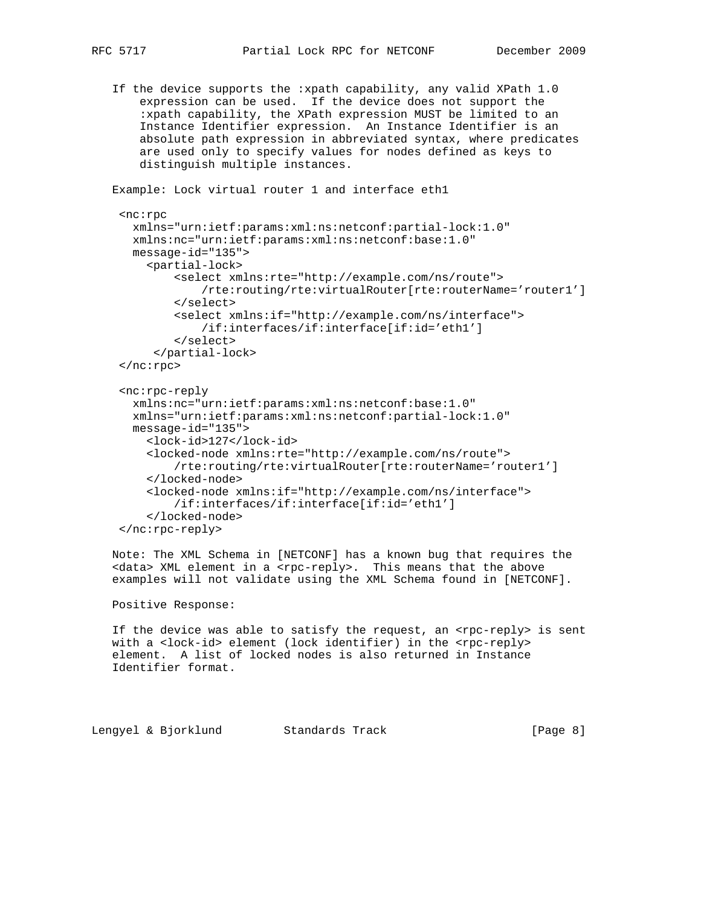If the device supports the :xpath capability, any valid XPath 1.0 expression can be used. If the device does not support the :xpath capability, the XPath expression MUST be limited to an Instance Identifier expression. An Instance Identifier is an absolute path expression in abbreviated syntax, where predicates are used only to specify values for nodes defined as keys to distinguish multiple instances.

```
 Example: Lock virtual router 1 and interface eth1
  <nc:rpc
    xmlns="urn:ietf:params:xml:ns:netconf:partial-lock:1.0"
    xmlns:nc="urn:ietf:params:xml:ns:netconf:base:1.0"
    message-id="135">
      <partial-lock>
          <select xmlns:rte="http://example.com/ns/route">
               /rte:routing/rte:virtualRouter[rte:routerName='router1']
          </select>
          <select xmlns:if="http://example.com/ns/interface">
               /if:interfaces/if:interface[if:id='eth1']
          </select>
       </partial-lock>
 $\mathord{<}\mathord{/}\mathrm{nc}{:}\mathrm{rpc}{>}$ <nc:rpc-reply
    xmlns:nc="urn:ietf:params:xml:ns:netconf:base:1.0"
    xmlns="urn:ietf:params:xml:ns:netconf:partial-lock:1.0"
    message-id="135">
      <lock-id>127</lock-id>
      <locked-node xmlns:rte="http://example.com/ns/route">
           /rte:routing/rte:virtualRouter[rte:routerName='router1']
      </locked-node>
      <locked-node xmlns:if="http://example.com/ns/interface">
          /if:interfaces/if:interface[if:id='eth1']
      </locked-node>
  </nc:rpc-reply>
```
 Note: The XML Schema in [NETCONF] has a known bug that requires the <data> XML element in a <rpc-reply>. This means that the above examples will not validate using the XML Schema found in [NETCONF].

Positive Response:

If the device was able to satisfy the request, an <rpc-reply> is sent with a <lock-id> element (lock identifier) in the <rpc-reply> element. A list of locked nodes is also returned in Instance Identifier format.

Lengyel & Bjorklund Standards Track [Page 8]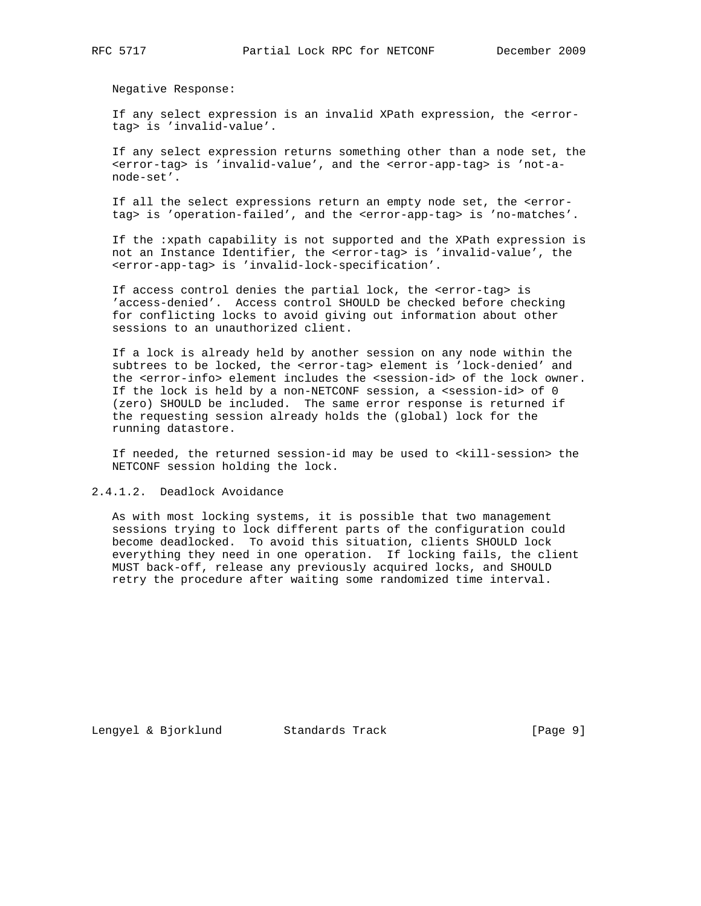Negative Response:

 If any select expression is an invalid XPath expression, the <error tag> is 'invalid-value'.

 If any select expression returns something other than a node set, the <error-tag> is 'invalid-value', and the <error-app-tag> is 'not-a node-set'.

 If all the select expressions return an empty node set, the <error tag> is 'operation-failed', and the <error-app-tag> is 'no-matches'.

 If the :xpath capability is not supported and the XPath expression is not an Instance Identifier, the <error-tag> is 'invalid-value', the <error-app-tag> is 'invalid-lock-specification'.

 If access control denies the partial lock, the <error-tag> is 'access-denied'. Access control SHOULD be checked before checking for conflicting locks to avoid giving out information about other sessions to an unauthorized client.

 If a lock is already held by another session on any node within the subtrees to be locked, the <error-tag> element is 'lock-denied' and the <error-info> element includes the <session-id> of the lock owner. If the lock is held by a non-NETCONF session, a <session-id> of 0 (zero) SHOULD be included. The same error response is returned if the requesting session already holds the (global) lock for the running datastore.

If needed, the returned session-id may be used to <kill-session> the NETCONF session holding the lock.

2.4.1.2. Deadlock Avoidance

 As with most locking systems, it is possible that two management sessions trying to lock different parts of the configuration could become deadlocked. To avoid this situation, clients SHOULD lock everything they need in one operation. If locking fails, the client MUST back-off, release any previously acquired locks, and SHOULD retry the procedure after waiting some randomized time interval.

Lengyel & Bjorklund Standards Track [Page 9]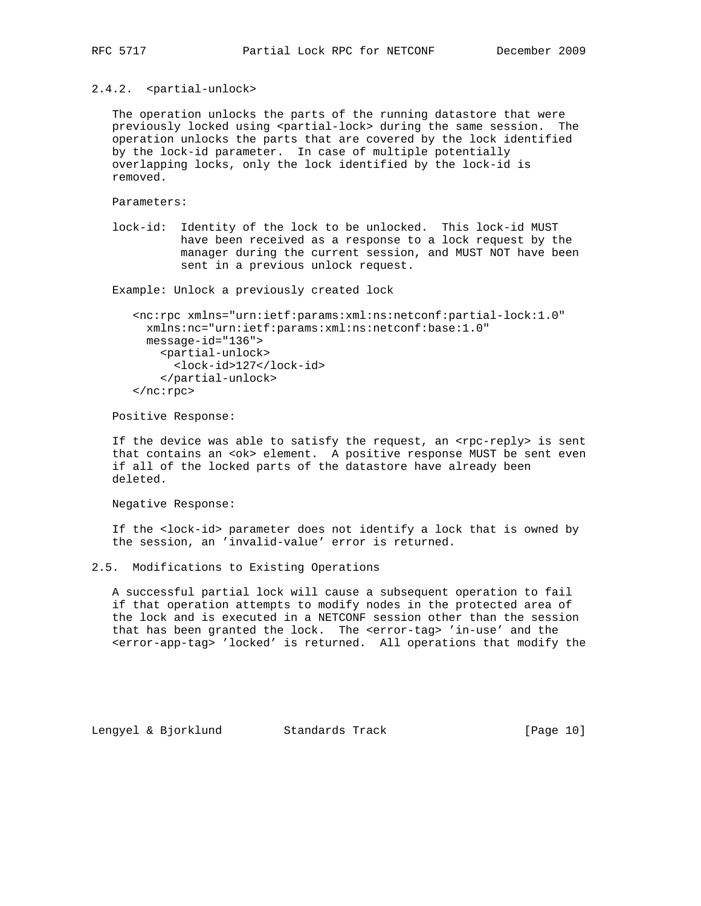# 2.4.2. <partial-unlock>

 The operation unlocks the parts of the running datastore that were previously locked using <partial-lock> during the same session. The operation unlocks the parts that are covered by the lock identified by the lock-id parameter. In case of multiple potentially overlapping locks, only the lock identified by the lock-id is removed.

Parameters:

 lock-id: Identity of the lock to be unlocked. This lock-id MUST have been received as a response to a lock request by the manager during the current session, and MUST NOT have been sent in a previous unlock request.

Example: Unlock a previously created lock

```
 <nc:rpc xmlns="urn:ietf:params:xml:ns:netconf:partial-lock:1.0"
  xmlns:nc="urn:ietf:params:xml:ns:netconf:base:1.0"
  message-id="136">
    <partial-unlock>
       <lock-id>127</lock-id>
     </partial-unlock>
 </nc:rpc>
```
Positive Response:

If the device was able to satisfy the request, an <rpc-reply> is sent that contains an <ok> element. A positive response MUST be sent even if all of the locked parts of the datastore have already been deleted.

Negative Response:

 If the <lock-id> parameter does not identify a lock that is owned by the session, an 'invalid-value' error is returned.

2.5. Modifications to Existing Operations

 A successful partial lock will cause a subsequent operation to fail if that operation attempts to modify nodes in the protected area of the lock and is executed in a NETCONF session other than the session that has been granted the lock. The <error-tag> 'in-use' and the <error-app-tag> 'locked' is returned. All operations that modify the

Lengyel & Bjorklund Standards Track [Page 10]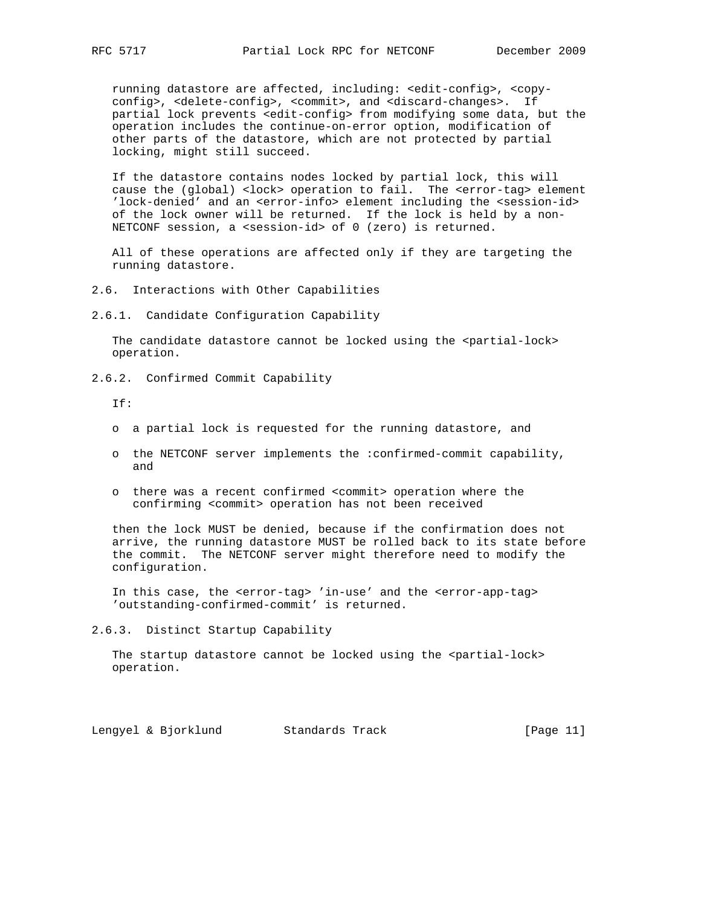running datastore are affected, including: <edit-config>, <copy config>, <delete-config>, <commit>, and <discard-changes>. If partial lock prevents <edit-config> from modifying some data, but the operation includes the continue-on-error option, modification of other parts of the datastore, which are not protected by partial locking, might still succeed.

 If the datastore contains nodes locked by partial lock, this will cause the (global) <lock> operation to fail. The <error-tag> element 'lock-denied' and an <error-info> element including the <session-id> of the lock owner will be returned. If the lock is held by a non- NETCONF session, a <session-id> of 0 (zero) is returned.

 All of these operations are affected only if they are targeting the running datastore.

- 2.6. Interactions with Other Capabilities
- 2.6.1. Candidate Configuration Capability

The candidate datastore cannot be locked using the <partial-lock> operation.

2.6.2. Confirmed Commit Capability

If:

- o a partial lock is requested for the running datastore, and
- o the NETCONF server implements the :confirmed-commit capability, and
- o there was a recent confirmed <commit> operation where the confirming <commit> operation has not been received

 then the lock MUST be denied, because if the confirmation does not arrive, the running datastore MUST be rolled back to its state before the commit. The NETCONF server might therefore need to modify the configuration.

 In this case, the <error-tag> 'in-use' and the <error-app-tag> 'outstanding-confirmed-commit' is returned.

2.6.3. Distinct Startup Capability

The startup datastore cannot be locked using the <partial-lock> operation.

Lengyel & Bjorklund Standards Track [Page 11]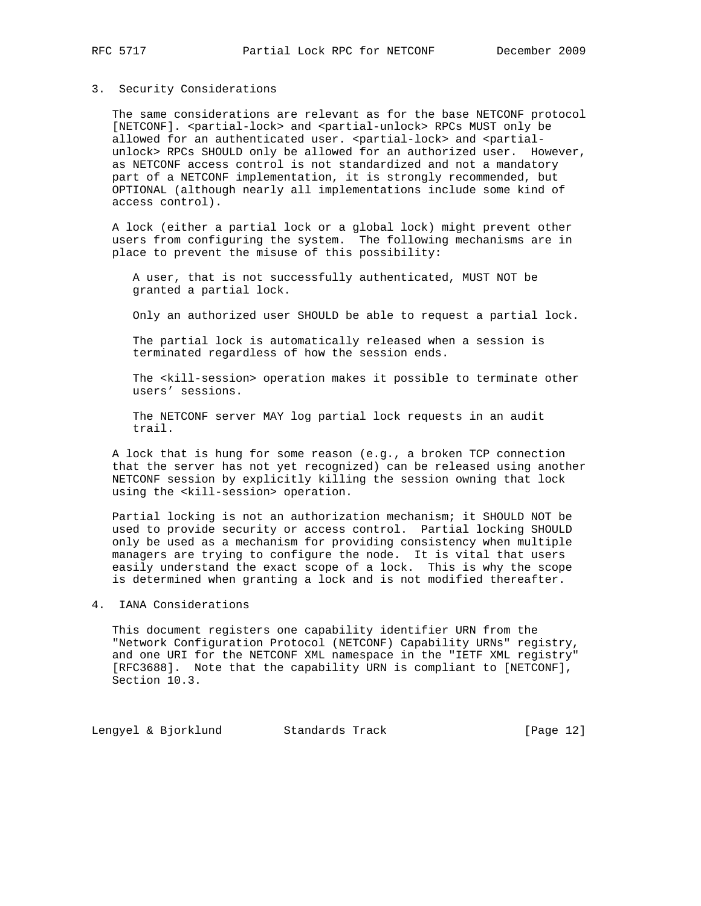#### 3. Security Considerations

 The same considerations are relevant as for the base NETCONF protocol [NETCONF]. <partial-lock> and <partial-unlock> RPCs MUST only be allowed for an authenticated user. <partial-lock> and <partial unlock> RPCs SHOULD only be allowed for an authorized user. However, as NETCONF access control is not standardized and not a mandatory part of a NETCONF implementation, it is strongly recommended, but OPTIONAL (although nearly all implementations include some kind of access control).

 A lock (either a partial lock or a global lock) might prevent other users from configuring the system. The following mechanisms are in place to prevent the misuse of this possibility:

 A user, that is not successfully authenticated, MUST NOT be granted a partial lock.

Only an authorized user SHOULD be able to request a partial lock.

 The partial lock is automatically released when a session is terminated regardless of how the session ends.

 The <kill-session> operation makes it possible to terminate other users' sessions.

 The NETCONF server MAY log partial lock requests in an audit trail.

 A lock that is hung for some reason (e.g., a broken TCP connection that the server has not yet recognized) can be released using another NETCONF session by explicitly killing the session owning that lock using the <kill-session> operation.

 Partial locking is not an authorization mechanism; it SHOULD NOT be used to provide security or access control. Partial locking SHOULD only be used as a mechanism for providing consistency when multiple managers are trying to configure the node. It is vital that users easily understand the exact scope of a lock. This is why the scope is determined when granting a lock and is not modified thereafter.

### 4. IANA Considerations

 This document registers one capability identifier URN from the "Network Configuration Protocol (NETCONF) Capability URNs" registry, and one URI for the NETCONF XML namespace in the "IETF XML registry" [RFC3688]. Note that the capability URN is compliant to [NETCONF], Section 10.3.

Lengyel & Bjorklund Standards Track [Page 12]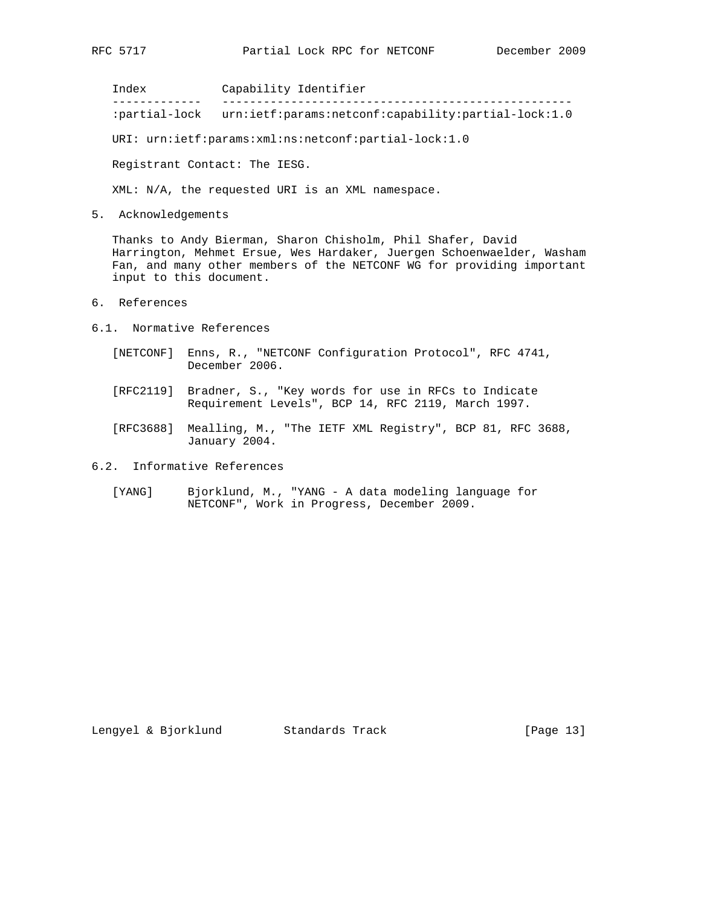Index Capability Identifier ------------- --------------------------------------------------- :partial-lock urn:ietf:params:netconf:capability:partial-lock:1.0

URI: urn:ietf:params:xml:ns:netconf:partial-lock:1.0

Registrant Contact: The IESG.

XML: N/A, the requested URI is an XML namespace.

5. Acknowledgements

 Thanks to Andy Bierman, Sharon Chisholm, Phil Shafer, David Harrington, Mehmet Ersue, Wes Hardaker, Juergen Schoenwaelder, Washam Fan, and many other members of the NETCONF WG for providing important input to this document.

- 6. References
- 6.1. Normative References
	- [NETCONF] Enns, R., "NETCONF Configuration Protocol", RFC 4741, December 2006.
	- [RFC2119] Bradner, S., "Key words for use in RFCs to Indicate Requirement Levels", BCP 14, RFC 2119, March 1997.
	- [RFC3688] Mealling, M., "The IETF XML Registry", BCP 81, RFC 3688, January 2004.

6.2. Informative References

 [YANG] Bjorklund, M., "YANG - A data modeling language for NETCONF", Work in Progress, December 2009.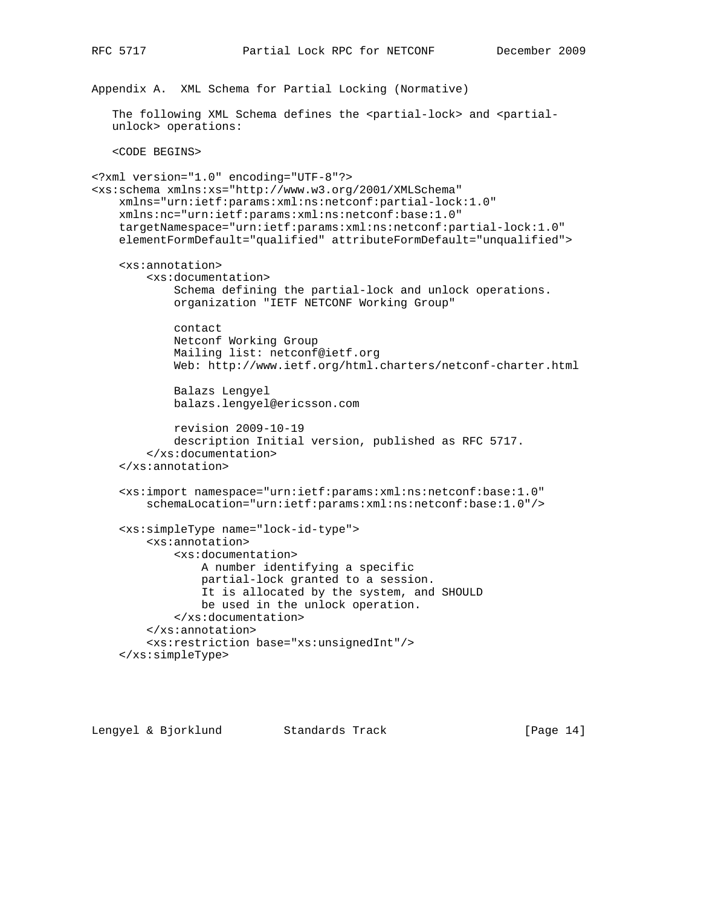Appendix A. XML Schema for Partial Locking (Normative) The following XML Schema defines the <partial-lock> and <partial unlock> operations: <CODE BEGINS> <?xml version="1.0" encoding="UTF-8"?> <xs:schema xmlns:xs="http://www.w3.org/2001/XMLSchema" xmlns="urn:ietf:params:xml:ns:netconf:partial-lock:1.0" xmlns:nc="urn:ietf:params:xml:ns:netconf:base:1.0" targetNamespace="urn:ietf:params:xml:ns:netconf:partial-lock:1.0" elementFormDefault="qualified" attributeFormDefault="unqualified"> <xs:annotation> <xs:documentation> Schema defining the partial-lock and unlock operations. organization "IETF NETCONF Working Group" contact Netconf Working Group Mailing list: netconf@ietf.org Web: http://www.ietf.org/html.charters/netconf-charter.html Balazs Lengyel balazs.lengyel@ericsson.com revision 2009-10-19 description Initial version, published as RFC 5717. </xs:documentation> </xs:annotation> <xs:import namespace="urn:ietf:params:xml:ns:netconf:base:1.0" schemaLocation="urn:ietf:params:xml:ns:netconf:base:1.0"/> <xs:simpleType name="lock-id-type"> <xs:annotation> <xs:documentation> A number identifying a specific partial-lock granted to a session. It is allocated by the system, and SHOULD be used in the unlock operation. </xs:documentation> </xs:annotation> <xs:restriction base="xs:unsignedInt"/> </xs:simpleType>

Lengyel & Bjorklund Standards Track [Page 14]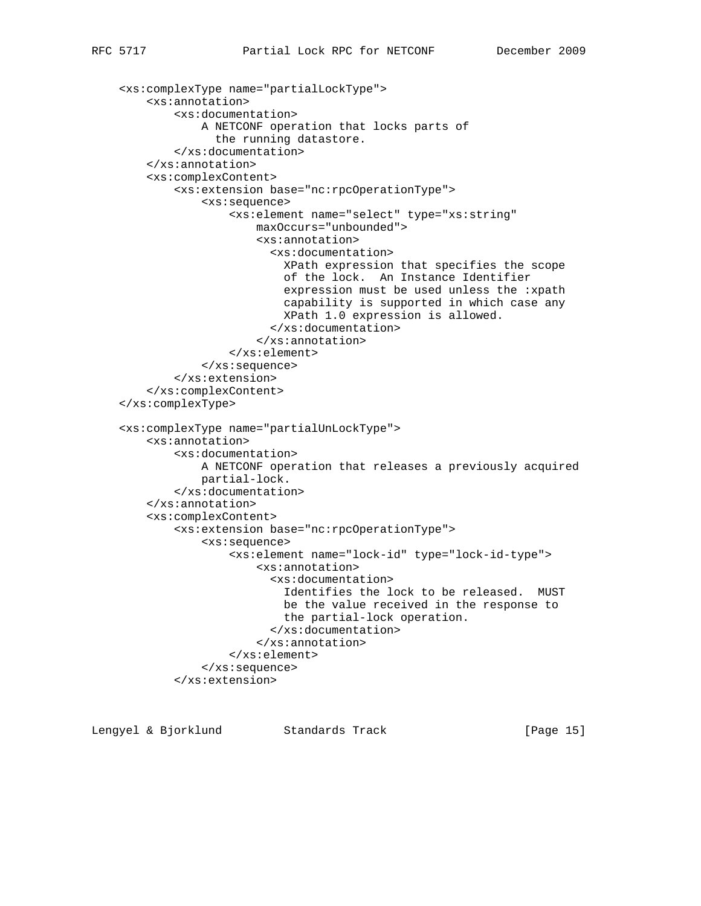```
 <xs:complexType name="partialLockType">
     <xs:annotation>
         <xs:documentation>
             A NETCONF operation that locks parts of
               the running datastore.
         </xs:documentation>
     </xs:annotation>
     <xs:complexContent>
         <xs:extension base="nc:rpcOperationType">
             <xs:sequence>
                 <xs:element name="select" type="xs:string"
                     maxOccurs="unbounded">
                      <xs:annotation>
                        <xs:documentation>
                          XPath expression that specifies the scope
                          of the lock. An Instance Identifier
                          expression must be used unless the :xpath
                          capability is supported in which case any
                          XPath 1.0 expression is allowed.
                        </xs:documentation>
                      </xs:annotation>
                 </xs:element>
             </xs:sequence>
         </xs:extension>
     </xs:complexContent>
 </xs:complexType>
 <xs:complexType name="partialUnLockType">
     <xs:annotation>
         <xs:documentation>
             A NETCONF operation that releases a previously acquired
             partial-lock.
         </xs:documentation>
     </xs:annotation>
     <xs:complexContent>
         <xs:extension base="nc:rpcOperationType">
             <xs:sequence>
                 <xs:element name="lock-id" type="lock-id-type">
                      <xs:annotation>
                        <xs:documentation>
                          Identifies the lock to be released. MUST
                          be the value received in the response to
                          the partial-lock operation.
                        </xs:documentation>
                      </xs:annotation>
                 </xs:element>
             </xs:sequence>
         </xs:extension>
```
Lengyel & Bjorklund Standards Track [Page 15]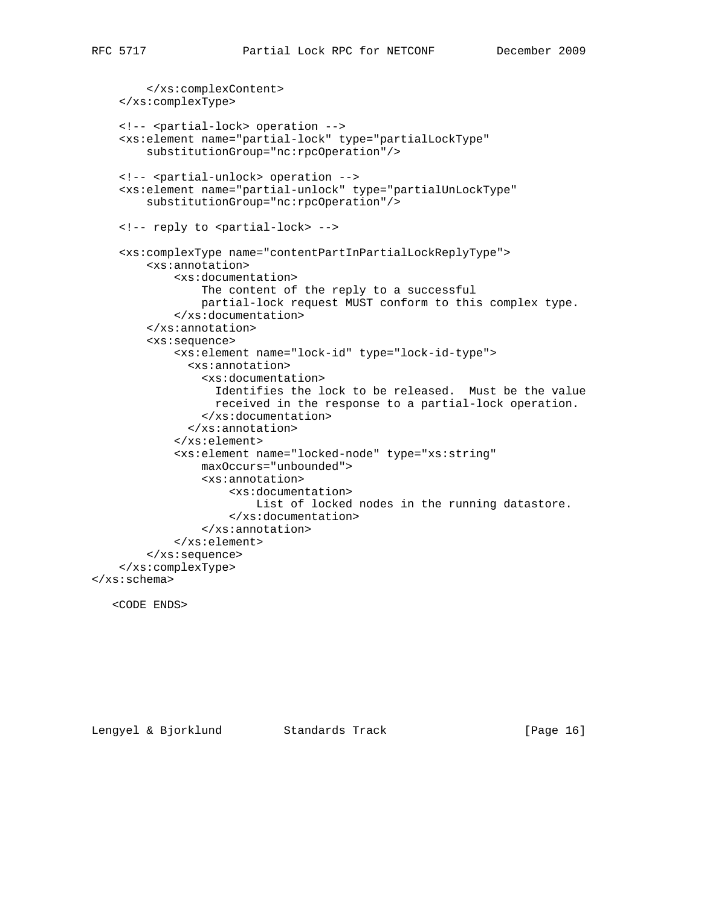```
 </xs:complexContent>
     </xs:complexType>
     <!-- <partial-lock> operation -->
     <xs:element name="partial-lock" type="partialLockType"
         substitutionGroup="nc:rpcOperation"/>
     <!-- <partial-unlock> operation -->
     <xs:element name="partial-unlock" type="partialUnLockType"
         substitutionGroup="nc:rpcOperation"/>
     <!-- reply to <partial-lock> -->
     <xs:complexType name="contentPartInPartialLockReplyType">
         <xs:annotation>
             <xs:documentation>
                 The content of the reply to a successful
                 partial-lock request MUST conform to this complex type.
             </xs:documentation>
         </xs:annotation>
         <xs:sequence>
             <xs:element name="lock-id" type="lock-id-type">
               <xs:annotation>
                 <xs:documentation>
                   Identifies the lock to be released. Must be the value
                   received in the response to a partial-lock operation.
                 </xs:documentation>
               </xs:annotation>
             </xs:element>
             <xs:element name="locked-node" type="xs:string"
                 maxOccurs="unbounded">
                 <xs:annotation>
                     <xs:documentation>
                          List of locked nodes in the running datastore.
                      </xs:documentation>
                 </xs:annotation>
             </xs:element>
         </xs:sequence>
     </xs:complexType>
</xs:schema>
```

```
 <CODE ENDS>
```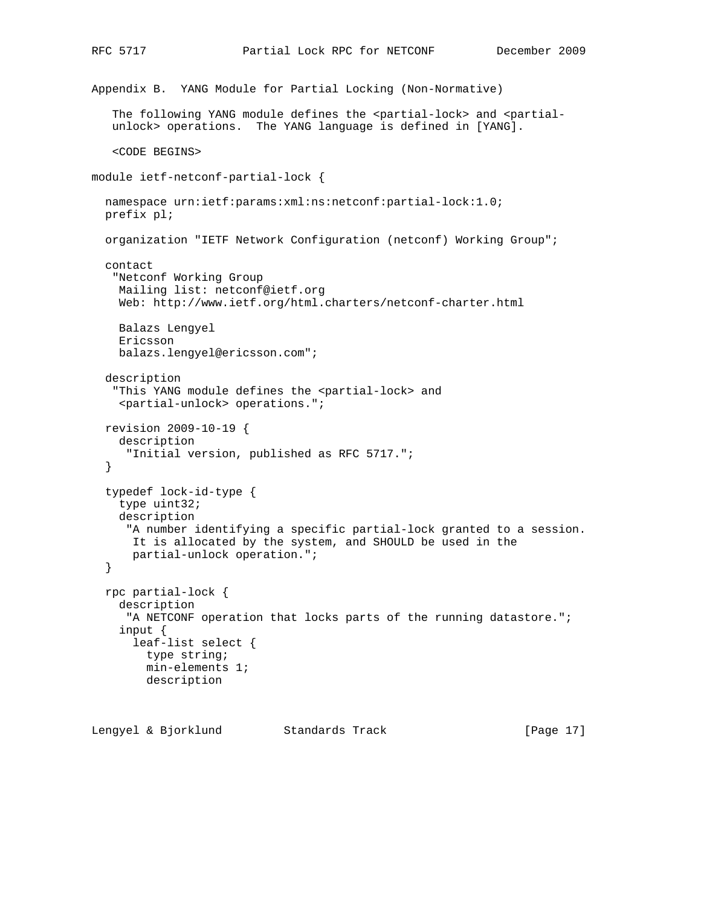```
Appendix B. YANG Module for Partial Locking (Non-Normative)
   The following YANG module defines the <partial-lock> and <partial-
    unlock> operations. The YANG language is defined in [YANG].
    <CODE BEGINS>
module ietf-netconf-partial-lock {
   namespace urn:ietf:params:xml:ns:netconf:partial-lock:1.0;
  prefix pl;
   organization "IETF Network Configuration (netconf) Working Group";
   contact
    "Netconf Working Group
     Mailing list: netconf@ietf.org
     Web: http://www.ietf.org/html.charters/netconf-charter.html
     Balazs Lengyel
     Ericsson
     balazs.lengyel@ericsson.com";
   description
   "This YANG module defines the <partial-lock> and
     <partial-unlock> operations.";
   revision 2009-10-19 {
     description
      "Initial version, published as RFC 5717.";
   }
   typedef lock-id-type {
    type uint32;
     description
      "A number identifying a specific partial-lock granted to a session.
       It is allocated by the system, and SHOULD be used in the
       partial-unlock operation.";
   }
   rpc partial-lock {
     description
      "A NETCONF operation that locks parts of the running datastore.";
     input {
       leaf-list select {
        type string;
         min-elements 1;
         description
```
Lengyel & Bjorklund Standards Track [Page 17]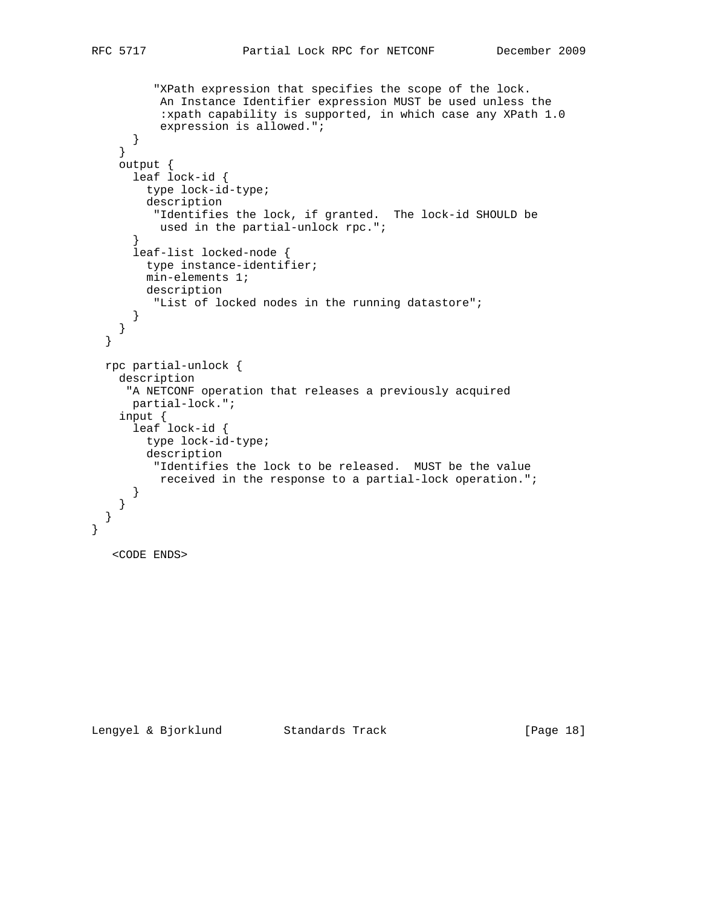```
 "XPath expression that specifies the scope of the lock.
          An Instance Identifier expression MUST be used unless the
           :xpath capability is supported, in which case any XPath 1.0
           expression is allowed.";
       }
     }
    output {
      leaf lock-id {
        type lock-id-type;
        description
         "Identifies the lock, if granted. The lock-id SHOULD be
          used in the partial-unlock rpc.";
       }
      leaf-list locked-node {
        type instance-identifier;
        min-elements 1;
        description
         "List of locked nodes in the running datastore";
      }
    }
  }
  rpc partial-unlock {
    description
      "A NETCONF operation that releases a previously acquired
      partial-lock.";
 input {
 leaf lock-id {
        type lock-id-type;
        description
         "Identifies the lock to be released. MUST be the value
          received in the response to a partial-lock operation.";
      }
    }
  }
   <CODE ENDS>
```
}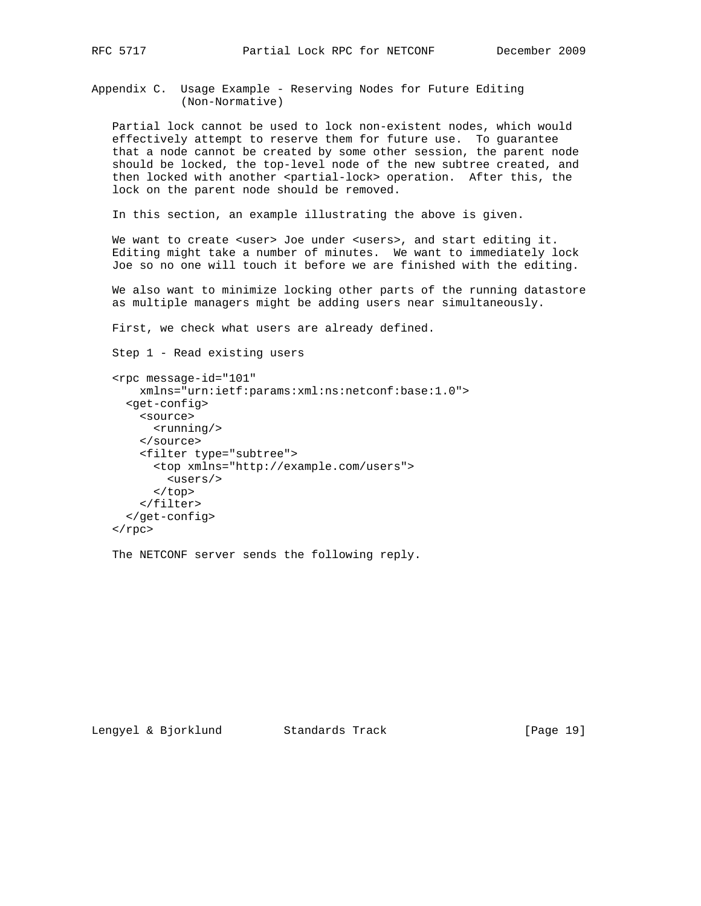Appendix C. Usage Example - Reserving Nodes for Future Editing (Non-Normative)

 Partial lock cannot be used to lock non-existent nodes, which would effectively attempt to reserve them for future use. To guarantee that a node cannot be created by some other session, the parent node should be locked, the top-level node of the new subtree created, and then locked with another <partial-lock> operation. After this, the lock on the parent node should be removed.

In this section, an example illustrating the above is given.

We want to create <user> Joe under <users>, and start editing it. Editing might take a number of minutes. We want to immediately lock Joe so no one will touch it before we are finished with the editing.

 We also want to minimize locking other parts of the running datastore as multiple managers might be adding users near simultaneously.

First, we check what users are already defined.

Step 1 - Read existing users

```
 <rpc message-id="101"
     xmlns="urn:ietf:params:xml:ns:netconf:base:1.0">
   <get-config>
     <source>
       <running/>
     </source>
     <filter type="subtree">
       <top xmlns="http://example.com/users">
         <users/>
       </top>
     </filter>
   </get-config>
\langle / rpc
```
The NETCONF server sends the following reply.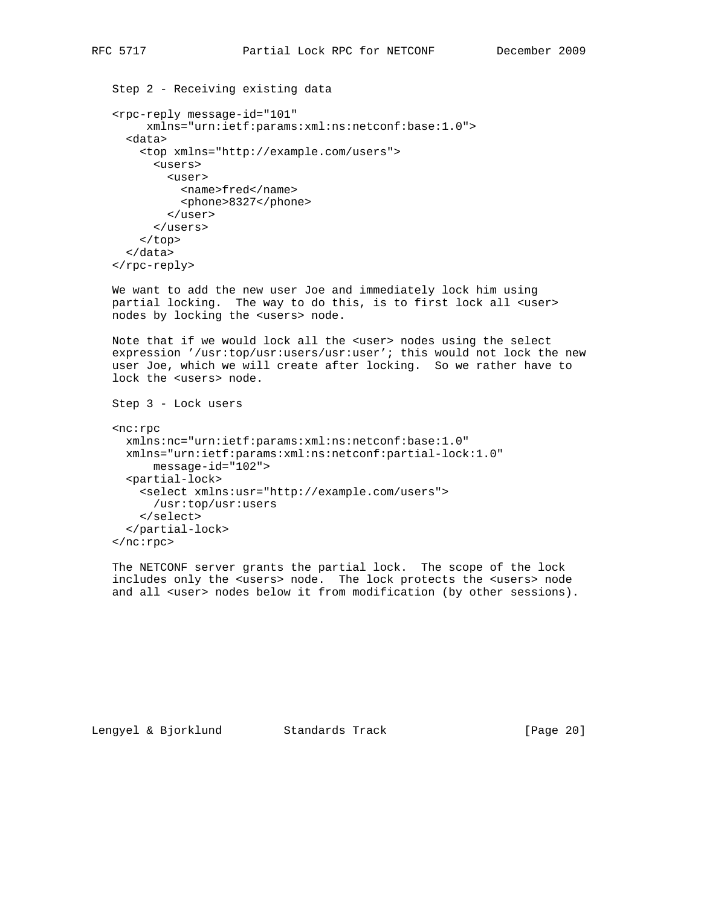```
 Step 2 - Receiving existing data
 <rpc-reply message-id="101"
      xmlns="urn:ietf:params:xml:ns:netconf:base:1.0">
   <data>
     <top xmlns="http://example.com/users">
       <users>
         <user>
           <name>fred</name>
```
<phone>8327</phone>

```
 </user>
        </users>
     </top>
   </data>
 </rpc-reply>
```
 We want to add the new user Joe and immediately lock him using partial locking. The way to do this, is to first lock all <user> nodes by locking the <users> node.

 Note that if we would lock all the <user> nodes using the select expression '/usr:top/usr:users/usr:user'; this would not lock the new user Joe, which we will create after locking. So we rather have to lock the <users> node.

```
 Step 3 - Lock users
 <nc:rpc
  xmlns:nc="urn:ietf:params:xml:ns:netconf:base:1.0"
  xmlns="urn:ietf:params:xml:ns:netconf:partial-lock:1.0"
       message-id="102">
   <partial-lock>
     <select xmlns:usr="http://example.com/users">
       /usr:top/usr:users
     </select>
   </partial-lock>
 </nc:rpc>
```
 The NETCONF server grants the partial lock. The scope of the lock includes only the <users> node. The lock protects the <users> node and all <user> nodes below it from modification (by other sessions).

Lengyel & Bjorklund Standards Track [Page 20]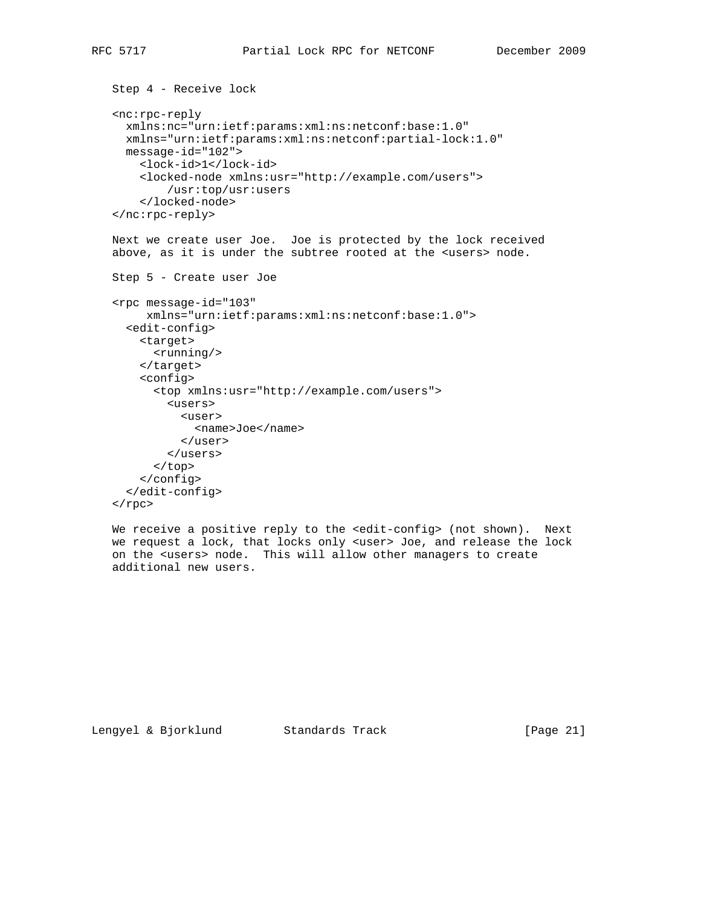```
 Step 4 - Receive lock
 <nc:rpc-reply
  xmlns:nc="urn:ietf:params:xml:ns:netconf:base:1.0"
   xmlns="urn:ietf:params:xml:ns:netconf:partial-lock:1.0"
  message-id="102">
     <lock-id>1</lock-id>
     <locked-node xmlns:usr="http://example.com/users">
         /usr:top/usr:users
     </locked-node>
 </nc:rpc-reply>
 Next we create user Joe. Joe is protected by the lock received
 above, as it is under the subtree rooted at the <users> node.
 Step 5 - Create user Joe
 <rpc message-id="103"
      xmlns="urn:ietf:params:xml:ns:netconf:base:1.0">
   <edit-config>
     <target>
       <running/>
     </target>
     <config>
       <top xmlns:usr="http://example.com/users">
         <users>
           <user>
             <name>Joe</name>
           </user>
         </users>
       </top>
     </config>
   </edit-config>
\langle rpc>
We receive a positive reply to the <edit-config> (not shown). Next
 we request a lock, that locks only <user> Joe, and release the lock
 on the <users> node. This will allow other managers to create
```
Lengyel & Bjorklund Standards Track [Page 21]

additional new users.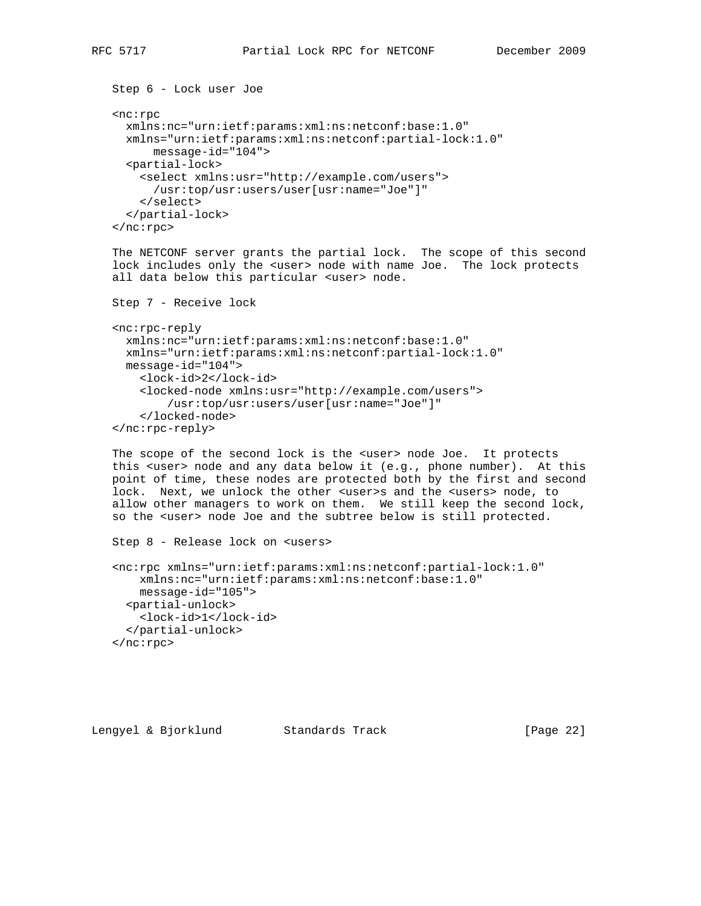```
 <nc:rpc
  xmlns:nc="urn:ietf:params:xml:ns:netconf:base:1.0"
  xmlns="urn:ietf:params:xml:ns:netconf:partial-lock:1.0"
       message-id="104">
   <partial-lock>
     <select xmlns:usr="http://example.com/users">
       /usr:top/usr:users/user[usr:name="Joe"]"
     </select>
   </partial-lock>
 </nc:rpc>
```
 The NETCONF server grants the partial lock. The scope of this second lock includes only the <user> node with name Joe. The lock protects all data below this particular <user> node.

```
 Step 7 - Receive lock
```
Step 6 - Lock user Joe

```
 <nc:rpc-reply
  xmlns:nc="urn:ietf:params:xml:ns:netconf:base:1.0"
  xmlns="urn:ietf:params:xml:ns:netconf:partial-lock:1.0"
  message-id="104">
     <lock-id>2</lock-id>
     <locked-node xmlns:usr="http://example.com/users">
         /usr:top/usr:users/user[usr:name="Joe"]"
     </locked-node>
 </nc:rpc-reply>
```
The scope of the second lock is the <user> node Joe. It protects this <user> node and any data below it (e.g., phone number). At this point of time, these nodes are protected both by the first and second lock. Next, we unlock the other <user>s and the <users> node, to allow other managers to work on them. We still keep the second lock, so the <user> node Joe and the subtree below is still protected.

```
 Step 8 - Release lock on <users>
```

```
 <nc:rpc xmlns="urn:ietf:params:xml:ns:netconf:partial-lock:1.0"
    xmlns:nc="urn:ietf:params:xml:ns:netconf:base:1.0"
    message-id="105">
  <partial-unlock>
    <lock-id>1</lock-id>
   </partial-unlock>
 </nc:rpc>
```

```
Lengyel & Bjorklund Standards Track [Page 22]
```